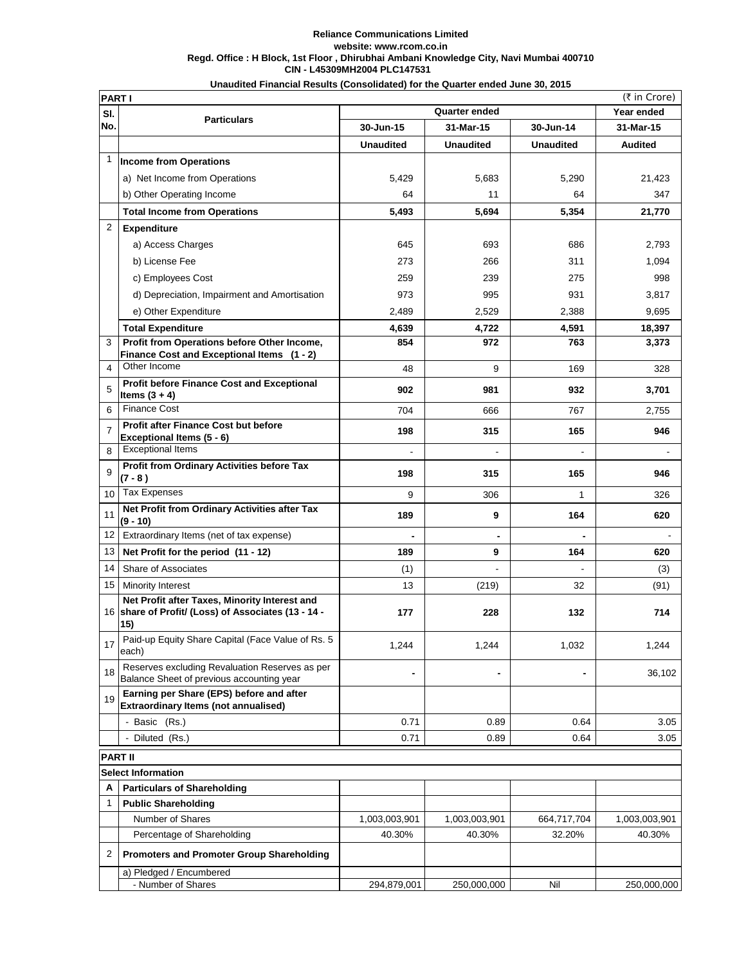## **CIN - L45309MH2004 PLC147531 Reliance Communications Limited website: www.rcom.co.in Regd. Office : H Block, 1st Floor , Dhirubhai Ambani Knowledge City, Navi Mumbai 400710 Unaudited Financial Results (Consolidated) for the Quarter ended June 30, 2015**

|                 | (₹ in Crore)<br><b>PART I</b>                                                                               |                        |                              |                  |               |  |  |
|-----------------|-------------------------------------------------------------------------------------------------------------|------------------------|------------------------------|------------------|---------------|--|--|
| SI.             | <b>Particulars</b>                                                                                          | Quarter ended          |                              |                  | Year ended    |  |  |
| No.             |                                                                                                             | 30-Jun-15<br>31-Mar-15 |                              | 30-Jun-14        | 31-Mar-15     |  |  |
|                 |                                                                                                             | <b>Unaudited</b>       | <b>Unaudited</b>             | <b>Unaudited</b> | Audited       |  |  |
| 1               | <b>Income from Operations</b>                                                                               |                        |                              |                  |               |  |  |
|                 | a) Net Income from Operations                                                                               | 5,429                  | 5,683                        | 5,290            | 21,423        |  |  |
|                 | b) Other Operating Income                                                                                   | 64                     | 11                           | 64               | 347           |  |  |
|                 | <b>Total Income from Operations</b>                                                                         | 5,493                  | 5,694                        | 5,354            | 21,770        |  |  |
| 2               | <b>Expenditure</b>                                                                                          |                        |                              |                  |               |  |  |
|                 | a) Access Charges                                                                                           | 645                    | 693                          | 686              | 2,793         |  |  |
|                 | b) License Fee                                                                                              | 273                    | 266                          | 311              | 1,094         |  |  |
|                 | c) Employees Cost                                                                                           | 259                    | 239                          | 275              | 998           |  |  |
|                 | d) Depreciation, Impairment and Amortisation                                                                | 973                    | 995                          | 931              | 3,817         |  |  |
|                 | e) Other Expenditure                                                                                        | 2,489                  | 2,529                        | 2,388            | 9,695         |  |  |
|                 | <b>Total Expenditure</b>                                                                                    | 4,639                  | 4,722                        | 4,591            | 18,397        |  |  |
| 3               | Profit from Operations before Other Income,                                                                 | 854                    | 972                          | 763              | 3,373         |  |  |
|                 | Finance Cost and Exceptional Items (1 - 2)                                                                  |                        |                              |                  |               |  |  |
| 4               | Other Income                                                                                                | 48                     | 9                            | 169              | 328           |  |  |
| 5               | <b>Profit before Finance Cost and Exceptional</b><br>Items $(3 + 4)$                                        | 902                    | 981                          | 932              | 3,701         |  |  |
| 6               | Finance Cost                                                                                                | 704                    | 666                          | 767              | 2,755         |  |  |
| $\overline{7}$  | Profit after Finance Cost but before<br>Exceptional Items (5 - 6)                                           | 198                    | 315                          | 165              | 946           |  |  |
| 8               | <b>Exceptional Items</b>                                                                                    | $\overline{a}$         |                              |                  |               |  |  |
| 9               | Profit from Ordinary Activities before Tax<br>$(7 - 8)$                                                     | 198                    | 315                          | 165              | 946           |  |  |
| 10 <sup>1</sup> | <b>Tax Expenses</b>                                                                                         | 9                      | 306                          | 1                | 326           |  |  |
| 11              | Net Profit from Ordinary Activities after Tax<br>(9 - 10)                                                   | 189                    | 9                            | 164              | 620           |  |  |
| 12              | Extraordinary Items (net of tax expense)                                                                    |                        |                              |                  |               |  |  |
| 13              | Net Profit for the period (11 - 12)                                                                         | 189                    | 9                            | 164              | 620           |  |  |
| 14              | Share of Associates                                                                                         | (1)                    |                              |                  | (3)           |  |  |
|                 | 15   Minority Interest                                                                                      | 13                     | (219)                        | 32               | (91)          |  |  |
|                 | Net Profit after Taxes, Minority Interest and<br>16 share of Profit/ (Loss) of Associates (13 - 14 -<br>15) | 177                    | 228                          | 132              | 714           |  |  |
| 17              | Paid-up Equity Share Capital (Face Value of Rs. 5<br>each)                                                  | 1,244                  | 1,244                        | 1,032            | 1,244         |  |  |
| 18              | Reserves excluding Revaluation Reserves as per<br>Balance Sheet of previous accounting year                 | $\blacksquare$         | $\qquad \qquad \blacksquare$ | $\blacksquare$   | 36,102        |  |  |
| 19              | Earning per Share (EPS) before and after<br><b>Extraordinary Items (not annualised)</b>                     |                        |                              |                  |               |  |  |
|                 | - Basic (Rs.)                                                                                               | 0.71                   | 0.89                         | 0.64             | 3.05          |  |  |
|                 | Diluted (Rs.)                                                                                               | 0.71                   | 0.89                         | 0.64             | 3.05          |  |  |
|                 | <b>PART II</b>                                                                                              |                        |                              |                  |               |  |  |
|                 | <b>Select Information</b>                                                                                   |                        |                              |                  |               |  |  |
| A               | <b>Particulars of Shareholding</b>                                                                          |                        |                              |                  |               |  |  |
| 1               | <b>Public Shareholding</b>                                                                                  |                        |                              |                  |               |  |  |
|                 | Number of Shares                                                                                            | 1,003,003,901          | 1,003,003,901                | 664,717,704      | 1,003,003,901 |  |  |
|                 | Percentage of Shareholding                                                                                  | 40.30%                 | 40.30%                       | 32.20%           | 40.30%        |  |  |
| 2               | <b>Promoters and Promoter Group Shareholding</b>                                                            |                        |                              |                  |               |  |  |
|                 | a) Pledged / Encumbered                                                                                     |                        |                              |                  |               |  |  |
|                 | - Number of Shares                                                                                          | 294,879,001            | 250,000,000                  | Nil              | 250,000,000   |  |  |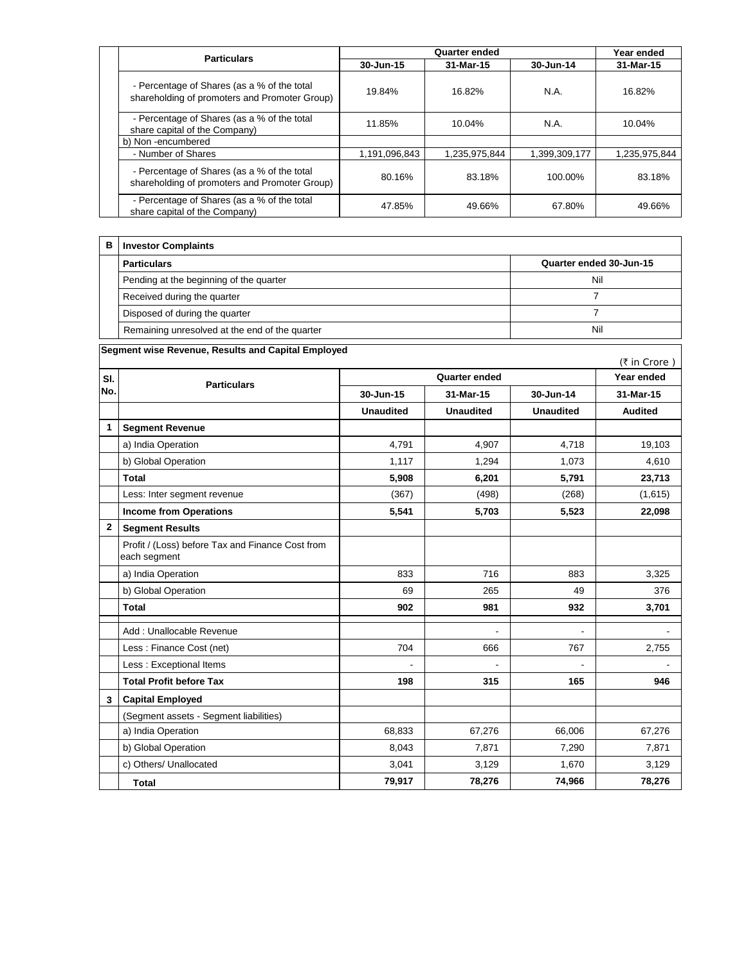|  | <b>Particulars</b>                                                                           | <b>Quarter ended</b> |               |               | Year ended    |
|--|----------------------------------------------------------------------------------------------|----------------------|---------------|---------------|---------------|
|  |                                                                                              | 30-Jun-15            | 31-Mar-15     | 30-Jun-14     | 31-Mar-15     |
|  | - Percentage of Shares (as a % of the total<br>shareholding of promoters and Promoter Group) | 19.84%               | 16.82%        | N.A.          | 16.82%        |
|  | - Percentage of Shares (as a % of the total<br>share capital of the Company)                 | 11.85%               | 10.04%        | N.A.          | 10.04%        |
|  | b) Non-encumbered                                                                            |                      |               |               |               |
|  | - Number of Shares                                                                           | 1,191,096,843        | 1.235.975.844 | 1,399,309,177 | 1,235,975,844 |
|  | - Percentage of Shares (as a % of the total<br>shareholding of promoters and Promoter Group) | 80.16%               | 83.18%        | 100.00%       | 83.18%        |
|  | - Percentage of Shares (as a % of the total<br>share capital of the Company)                 | 47.85%               | 49.66%        | 67.80%        | 49.66%        |

| в. | <b>Investor Complaints</b>                     |                         |  |  |
|----|------------------------------------------------|-------------------------|--|--|
|    | <b>Particulars</b>                             | Quarter ended 30-Jun-15 |  |  |
|    | Pending at the beginning of the quarter        | Nil                     |  |  |
|    | Received during the quarter                    |                         |  |  |
|    | Disposed of during the quarter                 |                         |  |  |
|    | Remaining unresolved at the end of the quarter | Nil                     |  |  |

**Segment wise Revenue, Results and Capital Employed** (₹ in Crore)  **Year ended 30-Jun-15 31-Mar-15 30-Jun-14 31-Mar-15** Unaudited | Unaudited | Unaudited | Audited  **Segment Revenue**  a) India Operation 19,103 (a) 19,103 (a) 19,103 (a) 19,103 (a) 19,103 (a) 19,103 (a) 19,103 (a) 19,103 (a) 19,103 b) Global Operation 1,117 1,117 1,294 1,073 1,073 1,610 **Total 5,908 6,201 5,791 23,713** Less: Inter segment revenue (367) (498) (268) (268) (1,615)  **Income from Operations 5,541 5,703 5,523 22,098 Segment Results**  Profit / (Loss) before Tax and Finance Cost from each segment **0.23**  a) India Operation 833 25 3,325 b) Global Operation 69 265 49 376  **Total 902 981 932 3,701**  Add : Unallocable Revenue - - - Less : Finance Cost (net) 704 | 666 | 767 | 2,755 Less : Exceptional Items - - - -  **Total Profit before Tax 198 315 165 946 Capital Employed**  (Segment assets - Segment liabilities) a) India Operation **68,833** 67,276 66,006 67,276 66,006 67,276 b) Global Operation **8,043** 7,871 7,871 7,290 7,871 c) Others/ Unallocated 3,041 3,129 1,670 3,129  **Total 79,917 78,276 74,966 78,276 3 SI.** Particulars **No. Quarter ended 1 2**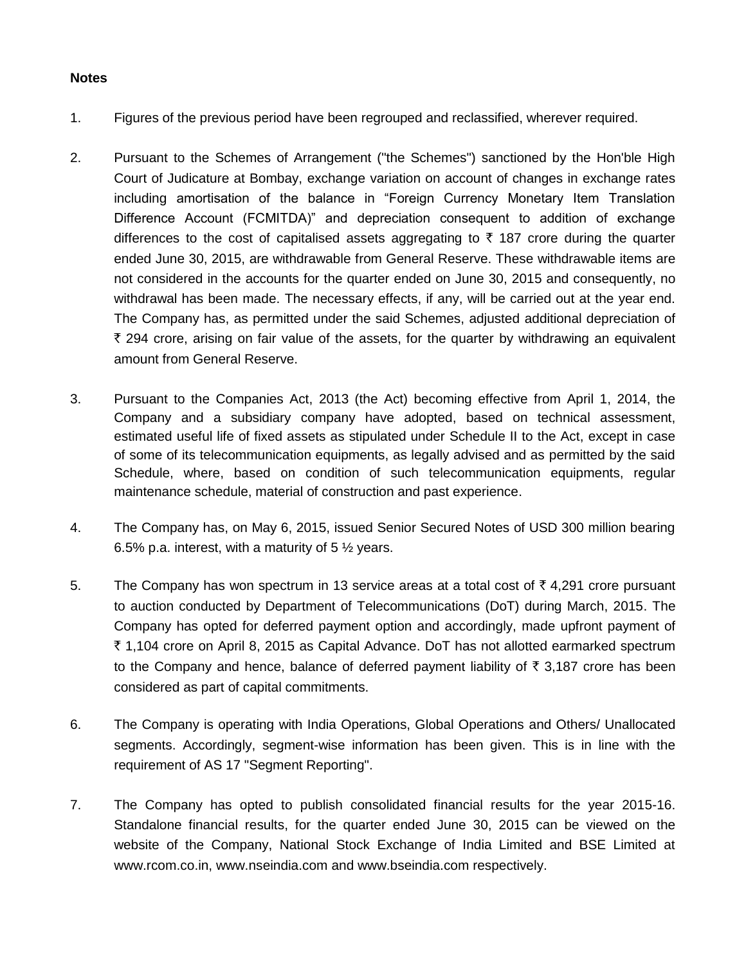## **Notes**

- 1. Figures of the previous period have been regrouped and reclassified, wherever required.
- 2. Pursuant to the Schemes of Arrangement ("the Schemes") sanctioned by the Hon'ble High Court of Judicature at Bombay, exchange variation on account of changes in exchange rates including amortisation of the balance in "Foreign Currency Monetary Item Translation Difference Account (FCMITDA)" and depreciation consequent to addition of exchange differences to the cost of capitalised assets aggregating to  $\bar{\tau}$  187 crore during the quarter ended June 30, 2015, are withdrawable from General Reserve. These withdrawable items are not considered in the accounts for the quarter ended on June 30, 2015 and consequently, no withdrawal has been made. The necessary effects, if any, will be carried out at the year end. The Company has, as permitted under the said Schemes, adjusted additional depreciation of  $\bar{\tau}$  294 crore, arising on fair value of the assets, for the quarter by withdrawing an equivalent amount from General Reserve.
- 3. Pursuant to the Companies Act, 2013 (the Act) becoming effective from April 1, 2014, the Company and a subsidiary company have adopted, based on technical assessment, estimated useful life of fixed assets as stipulated under Schedule II to the Act, except in case of some of its telecommunication equipments, as legally advised and as permitted by the said Schedule, where, based on condition of such telecommunication equipments, regular maintenance schedule, material of construction and past experience.
- 4. The Company has, on May 6, 2015, issued Senior Secured Notes of USD 300 million bearing 6.5% p.a. interest, with a maturity of 5  $\frac{1}{2}$  years.
- 5. The Company has won spectrum in 13 service areas at a total cost of  $\bar{\tau}$  4,291 crore pursuant to auction conducted by Department of Telecommunications (DoT) during March, 2015. The Company has opted for deferred payment option and accordingly, made upfront payment of ` 1,104 crore on April 8, 2015 as Capital Advance. DoT has not allotted earmarked spectrum to the Company and hence, balance of deferred payment liability of  $\bar{\tau}$  3,187 crore has been considered as part of capital commitments.
- 6. The Company is operating with India Operations, Global Operations and Others/ Unallocated segments. Accordingly, segment-wise information has been given. This is in line with the requirement of AS 17 "Segment Reporting".
- 7. The Company has opted to publish consolidated financial results for the year 2015-16. Standalone financial results, for the quarter ended June 30, 2015 can be viewed on the website of the Company, National Stock Exchange of India Limited and BSE Limited at www.rcom.co.in, www.nseindia.com and www.bseindia.com respectively.